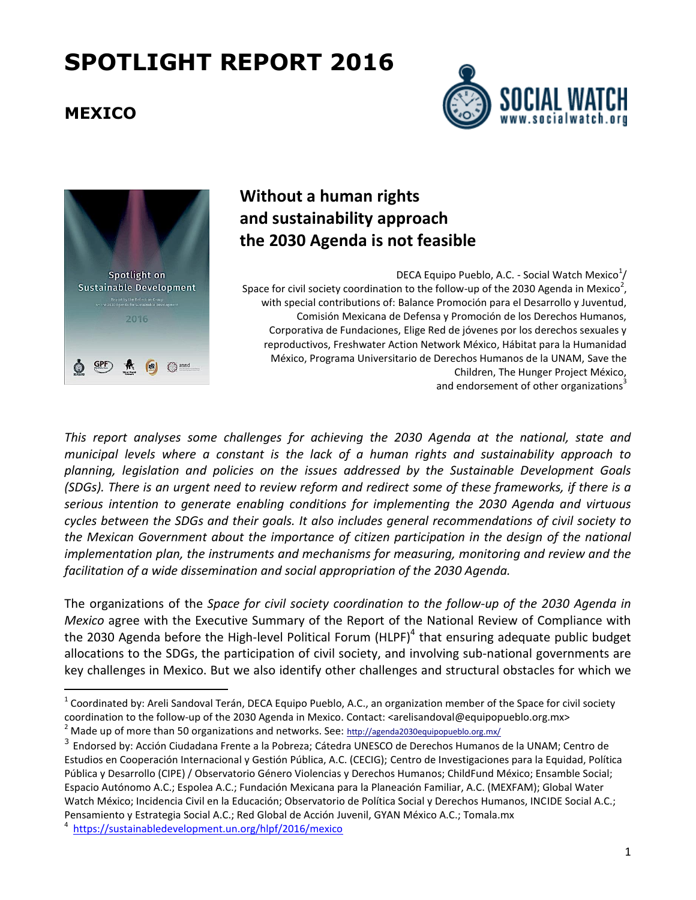#### **MEXICO**

 $\overline{a}$ 





### **Without a human rights and sustainability approach the 2030 Agenda is not feasible**

DECA Equipo Pueblo, A.C. - Social Watch Mexico $^{1}/$ Space for civil society coordination to the follow-up of the 2030 Agenda in Mexico<sup>2</sup>, with special contributions of: Balance Promoción para el Desarrollo y Juventud, Comisión Mexicana de Defensa y Promoción de los Derechos Humanos, Corporativa de Fundaciones, Elige Red de jóvenes por los derechos sexuales y reproductivos, Freshwater Action Network México, Hábitat para la Humanidad México, Programa Universitario de Derechos Humanos de la UNAM, Save the Children, The Hunger Project México, and endorsement of other organizations<sup>3</sup>

*This report analyses some challenges for achieving the 2030 Agenda at the national, state and municipal levels where a constant is the lack of a human rights and sustainability approach to planning, legislation and policies on the issues addressed by the Sustainable Development Goals* (SDGs). There is an urgent need to review reform and redirect some of these frameworks, if there is a *serious intention to generate enabling conditions for implementing the 2030 Agenda and virtuous cycles between the SDGs and their goals. It also includes general recommendations of civil society to the Mexican Government about the importance of citizen participation in the design of the national implementation plan, the instruments and mechanisms for measuring, monitoring and review and the facilitation of a wide dissemination and social appropriation of the 2030 Agenda.*

The organizations of the *Space for civil society coordination to the follow-up of the 2030 Agenda in Mexico* agree with the Executive Summary of the Report of the National Review of Compliance with the 2030 Agenda before the High-level Political Forum (HLPF)<sup>4</sup> that ensuring adequate public budget allocations to the SDGs, the participation of civil society, and involving sub-national governments are key challenges in Mexico. But we also identify other challenges and structural obstacles for which we

4 <https://sustainabledevelopment.un.org/hlpf/2016/mexico>

 $^1$  Coordinated by: Areli Sandoval Terán, DECA Equipo Pueblo, A.C., an organization member of the Space for civil society coordination to the follow-up of the 2030 Agenda in Mexico. Contact: <arelisandoval@equipopueblo.org.mx> Made up of more than 50 organizations and networks. See: <http://agenda2030equipopueblo.org.mx/>

<sup>&</sup>lt;sup>3</sup> Endorsed by: Acción Ciudadana Frente a la Pobreza; Cátedra UNESCO de Derechos Humanos de la UNAM; Centro de Estudios en Cooperación Internacional y Gestión Pública, A.C. (CECIG); Centro de Investigaciones para la Equidad, Política Pública y Desarrollo (CIPE) / Observatorio Género Violencias y Derechos Humanos; ChildFund México; Ensamble Social; Espacio Autónomo A.C.; Espolea A.C.; Fundación Mexicana para la Planeación Familiar, A.C. (MEXFAM); Global Water Watch México; Incidencia Civil en la Educación; Observatorio de Política Social y Derechos Humanos, INCIDE Social A.C.; Pensamiento y Estrategia Social A.C.; Red Global de Acción Juvenil, GYAN México A.C.; Tomala.mx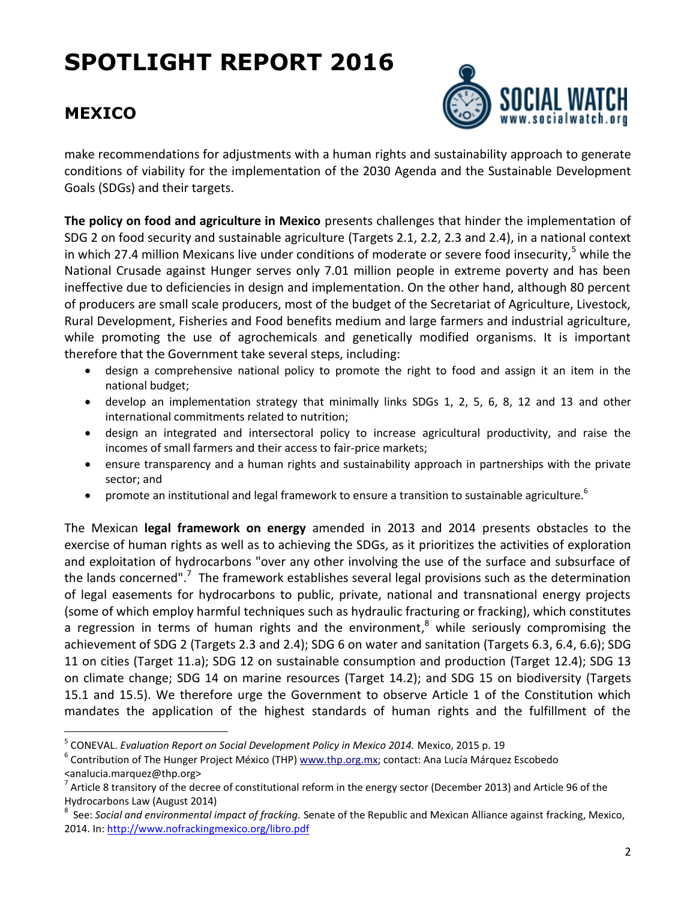

#### **MEXICO**

 $\overline{a}$ 

make recommendations for adjustments with a human rights and sustainability approach to generate conditions of viability for the implementation of the 2030 Agenda and the Sustainable Development Goals (SDGs) and their targets.

**The policy on food and agriculture in Mexico** presents challenges that hinder the implementation of SDG 2 on food security and sustainable agriculture (Targets 2.1, 2.2, 2.3 and 2.4), in a national context in which 27.4 million Mexicans live under conditions of moderate or severe food insecurity,<sup>5</sup> while the National Crusade against Hunger serves only 7.01 million people in extreme poverty and has been ineffective due to deficiencies in design and implementation. On the other hand, although 80 percent of producers are small scale producers, most of the budget of the Secretariat of Agriculture, Livestock, Rural Development, Fisheries and Food benefits medium and large farmers and industrial agriculture, while promoting the use of agrochemicals and genetically modified organisms. It is important therefore that the Government take several steps, including:

- design a comprehensive national policy to promote the right to food and assign it an item in the national budget;
- develop an implementation strategy that minimally links SDGs 1, 2, 5, 6, 8, 12 and 13 and other international commitments related to nutrition;
- design an integrated and intersectoral policy to increase agricultural productivity, and raise the incomes of small farmers and their access to fair-price markets;
- ensure transparency and a human rights and sustainability approach in partnerships with the private sector; and
- **•** promote an institutional and legal framework to ensure a transition to sustainable agriculture.<sup>6</sup>

The Mexican **legal framework on energy** amended in 2013 and 2014 presents obstacles to the exercise of human rights as well as to achieving the SDGs, as it prioritizes the activities of exploration and exploitation of hydrocarbons "over any other involving the use of the surface and subsurface of the lands concerned".<sup>7</sup> The framework establishes several legal provisions such as the determination of legal easements for hydrocarbons to public, private, national and transnational energy projects (some of which employ harmful techniques such as hydraulic fracturing or fracking), which constitutes a regression in terms of human rights and the environment,<sup>8</sup> while seriously compromising the achievement of SDG 2 (Targets 2.3 and 2.4); SDG 6 on water and sanitation (Targets 6.3, 6.4, 6.6); SDG 11 on cities (Target 11.a); SDG 12 on sustainable consumption and production (Target 12.4); SDG 13 on climate change; SDG 14 on marine resources (Target 14.2); and SDG 15 on biodiversity (Targets 15.1 and 15.5). We therefore urge the Government to observe Article 1 of the Constitution which mandates the application of the highest standards of human rights and the fulfillment of the

<sup>5</sup> CONEVAL. *Evaluation Report on Social Development Policy in Mexico 2014.* Mexico, 2015 p. 19

<sup>&</sup>lt;sup>6</sup> Contribution of The Hunger Project México (THP) <u>www.thp.org.mx</u>; contact: Ana Lucía Márquez Escobedo <analucia.marquez@thp.org>

<sup>&</sup>lt;sup>7</sup> Article 8 transitory of the decree of constitutional reform in the energy sector (December 2013) and Article 96 of the Hydrocarbons Law (August 2014)

<sup>&</sup>lt;sup>8</sup> See: Social and environmental impact of fracking. Senate of the Republic and Mexican Alliance against fracking, Mexico, 2014. In[: http://www.nofrackingmexico.org/libro.pdf](http://www.nofrackingmexico.org/libro.pdf)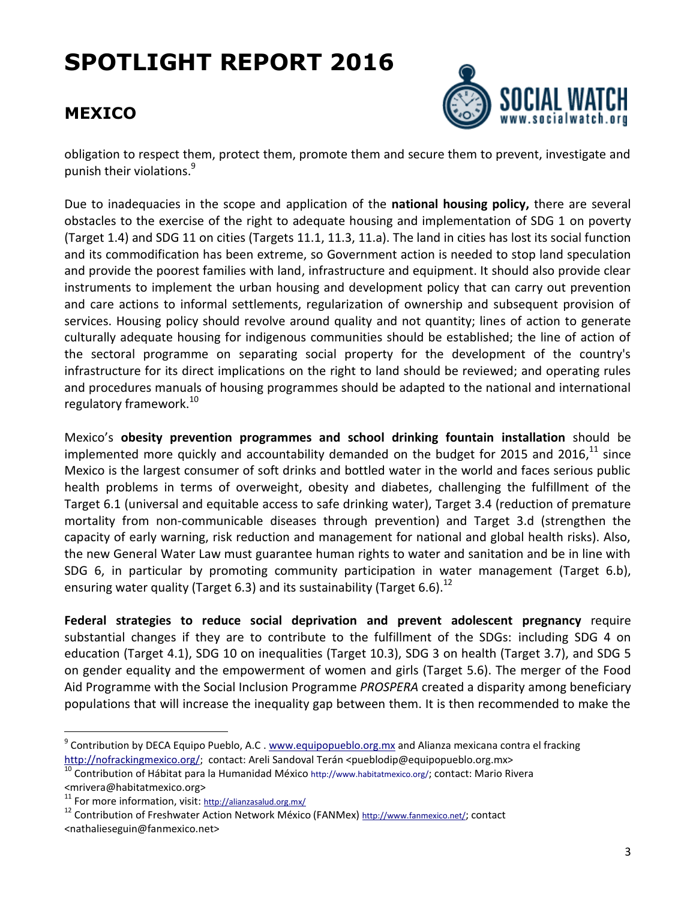### **MEXICO**



obligation to respect them, protect them, promote them and secure them to prevent, investigate and punish their violations.<sup>9</sup>

Due to inadequacies in the scope and application of the **national housing policy,** there are several obstacles to the exercise of the right to adequate housing and implementation of SDG 1 on poverty (Target 1.4) and SDG 11 on cities (Targets 11.1, 11.3, 11.a). The land in cities has lost its social function and its commodification has been extreme, so Government action is needed to stop land speculation and provide the poorest families with land, infrastructure and equipment. It should also provide clear instruments to implement the urban housing and development policy that can carry out prevention and care actions to informal settlements, regularization of ownership and subsequent provision of services. Housing policy should revolve around quality and not quantity; lines of action to generate culturally adequate housing for indigenous communities should be established; the line of action of the sectoral programme on separating social property for the development of the country's infrastructure for its direct implications on the right to land should be reviewed; and operating rules and procedures manuals of housing programmes should be adapted to the national and international regulatory framework.<sup>10</sup>

Mexico's **obesity prevention programmes and school drinking fountain installation** should be implemented more quickly and accountability demanded on the budget for 2015 and 2016, $^{11}$  since Mexico is the largest consumer of soft drinks and bottled water in the world and faces serious public health problems in terms of overweight, obesity and diabetes, challenging the fulfillment of the Target 6.1 (universal and equitable access to safe drinking water), Target 3.4 (reduction of premature mortality from non-communicable diseases through prevention) and Target 3.d (strengthen the capacity of early warning, risk reduction and management for national and global health risks). Also, the new General Water Law must guarantee human rights to water and sanitation and be in line with SDG 6, in particular by promoting community participation in water management (Target 6.b), ensuring water quality (Target 6.3) and its sustainability (Target 6.6).<sup>12</sup>

**Federal strategies to reduce social deprivation and prevent adolescent pregnancy** require substantial changes if they are to contribute to the fulfillment of the SDGs: including SDG 4 on education (Target 4.1), SDG 10 on inequalities (Target 10.3), SDG 3 on health (Target 3.7), and SDG 5 on gender equality and the empowerment of women and girls (Target 5.6). The merger of the Food Aid Programme with the Social Inclusion Programme *PROSPERA* created a disparity among beneficiary populations that will increase the inequality gap between them. It is then recommended to make the

 $\overline{a}$ 

<sup>&</sup>lt;sup>9</sup> Contribution by DECA Equipo Pueblo, A.C . [www.equipopueblo.org.mx](http://www.equipopueblo.org.mx/) and Alianza mexicana contra el fracking [http://nofrackingmexico.org/;](http://nofrackingmexico.org/) contact: Areli Sandoval Terán <pueblodip@equipopueblo.org.mx>

 $\frac{10}{10}$  Contribution of Hábitat para la Humanidad México <http://www.habitatmexico.org/>; contact: Mario Rivera <mrivera@habitatmexico.org>

 $11$  For more information, visit: <http://alianzasalud.org.mx/>

<sup>&</sup>lt;sup>12</sup> Contribution of Freshwater Action Network México (FANMex) <http://www.fanmexico.net/>; contact <nathalieseguin@fanmexico.net>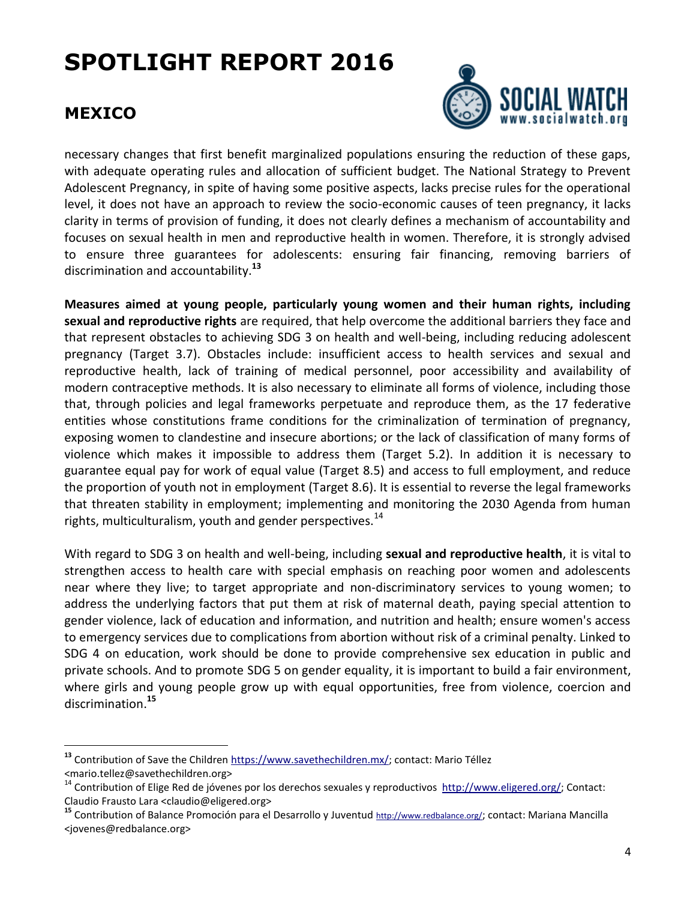#### **MEXICO**

 $\overline{a}$ 



necessary changes that first benefit marginalized populations ensuring the reduction of these gaps, with adequate operating rules and allocation of sufficient budget. The National Strategy to Prevent Adolescent Pregnancy, in spite of having some positive aspects, lacks precise rules for the operational level, it does not have an approach to review the socio-economic causes of teen pregnancy, it lacks clarity in terms of provision of funding, it does not clearly defines a mechanism of accountability and focuses on sexual health in men and reproductive health in women. Therefore, it is strongly advised to ensure three guarantees for adolescents: ensuring fair financing, removing barriers of discrimination and accountability.**<sup>13</sup>**

**Measures aimed at young people, particularly young women and their human rights, including sexual and reproductive rights** are required, that help overcome the additional barriers they face and that represent obstacles to achieving SDG 3 on health and well-being, including reducing adolescent pregnancy (Target 3.7). Obstacles include: insufficient access to health services and sexual and reproductive health, lack of training of medical personnel, poor accessibility and availability of modern contraceptive methods. It is also necessary to eliminate all forms of violence, including those that, through policies and legal frameworks perpetuate and reproduce them, as the 17 federative entities whose constitutions frame conditions for the criminalization of termination of pregnancy, exposing women to clandestine and insecure abortions; or the lack of classification of many forms of violence which makes it impossible to address them (Target 5.2). In addition it is necessary to guarantee equal pay for work of equal value (Target 8.5) and access to full employment, and reduce the proportion of youth not in employment (Target 8.6). It is essential to reverse the legal frameworks that threaten stability in employment; implementing and monitoring the 2030 Agenda from human rights, multiculturalism, youth and gender perspectives.<sup>14</sup>

With regard to SDG 3 on health and well-being, including **sexual and reproductive health**, it is vital to strengthen access to health care with special emphasis on reaching poor women and adolescents near where they live; to target appropriate and non-discriminatory services to young women; to address the underlying factors that put them at risk of maternal death, paying special attention to gender violence, lack of education and information, and nutrition and health; ensure women's access to emergency services due to complications from abortion without risk of a criminal penalty. Linked to SDG 4 on education, work should be done to provide comprehensive sex education in public and private schools. And to promote SDG 5 on gender equality, it is important to build a fair environment, where girls and young people grow up with equal opportunities, free from violence, coercion and discrimination.**<sup>15</sup>**

**<sup>13</sup>** Contribution of Save the Children [https://www.savethechildren.mx/;](https://www.savethechildren.mx/) contact: Mario Téllez <mario.tellez@savethechildren.org>

<sup>&</sup>lt;sup>14</sup> Contribution of Elige Red de jóvenes por los derechos sexuales y reproductivos [http://www.eligered.org/;](http://www.eligered.org/) Contact: Claudio Frausto Lara <claudio@eligered.org>

**<sup>15</sup>** Contribution of Balance Promoción para el Desarrollo y Juventud <http://www.redbalance.org/>; contact: Mariana Mancilla <jovenes@redbalance.org>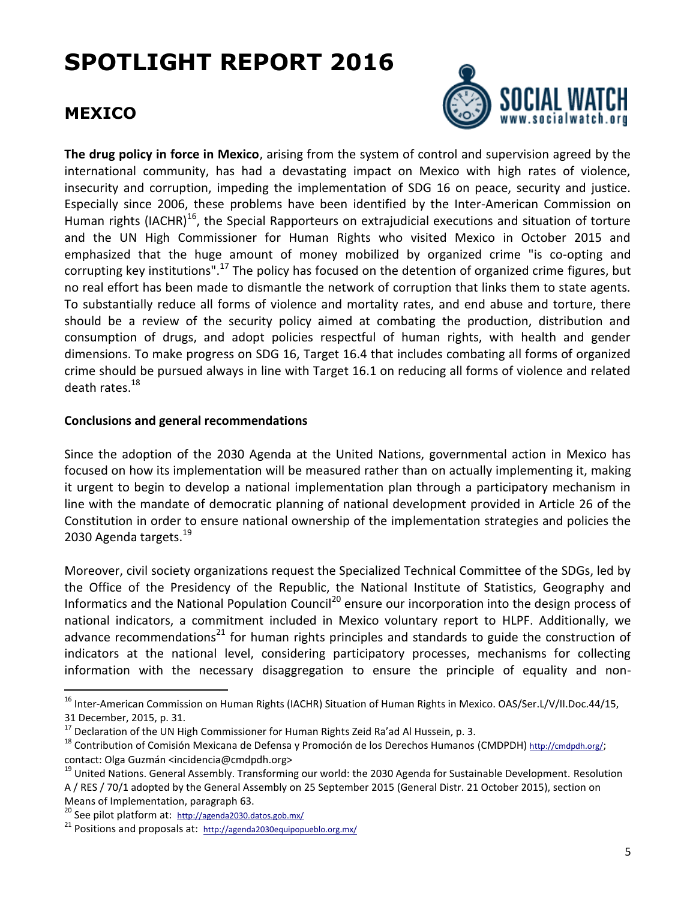#### **MEXICO**



**The drug policy in force in Mexico**, arising from the system of control and supervision agreed by the international community, has had a devastating impact on Mexico with high rates of violence, insecurity and corruption, impeding the implementation of SDG 16 on peace, security and justice. Especially since 2006, these problems have been identified by the Inter-American Commission on Human rights (IACHR)<sup>16</sup>, the Special Rapporteurs on extrajudicial executions and situation of torture and the UN High Commissioner for Human Rights who visited Mexico in October 2015 and emphasized that the huge amount of money mobilized by organized crime "is co-opting and corrupting key institutions".<sup>17</sup> The policy has focused on the detention of organized crime figures, but no real effort has been made to dismantle the network of corruption that links them to state agents. To substantially reduce all forms of violence and mortality rates, and end abuse and torture, there should be a review of the security policy aimed at combating the production, distribution and consumption of drugs, and adopt policies respectful of human rights, with health and gender dimensions. To make progress on SDG 16, Target 16.4 that includes combating all forms of organized crime should be pursued always in line with Target 16.1 on reducing all forms of violence and related death rates.<sup>18</sup>

#### **Conclusions and general recommendations**

Since the adoption of the 2030 Agenda at the United Nations, governmental action in Mexico has focused on how its implementation will be measured rather than on actually implementing it, making it urgent to begin to develop a national implementation plan through a participatory mechanism in line with the mandate of democratic planning of national development provided in Article 26 of the Constitution in order to ensure national ownership of the implementation strategies and policies the 2030 Agenda targets.<sup>19</sup>

Moreover, civil society organizations request the Specialized Technical Committee of the SDGs, led by the Office of the Presidency of the Republic, the National Institute of Statistics, Geography and Informatics and the National Population Council<sup>20</sup> ensure our incorporation into the design process of national indicators, a commitment included in Mexico voluntary report to HLPF. Additionally, we advance recommendations<sup>21</sup> for human rights principles and standards to guide the construction of indicators at the national level, considering participatory processes, mechanisms for collecting information with the necessary disaggregation to ensure the principle of equality and non-

 $\overline{a}$ 

<sup>&</sup>lt;sup>16</sup> Inter-American Commission on Human Rights (IACHR) Situation of Human Rights in Mexico. OAS/Ser.L/V/II.Doc.44/15, 31 December, 2015, p. 31.

 $17$  Declaration of the UN High Commissioner for Human Rights Zeid Ra'ad Al Hussein, p. 3.

<sup>&</sup>lt;sup>18</sup> Contribution of Comisión Mexicana de Defensa y Promoción de los Derechos Humanos (CMDPDH) <http://cmdpdh.org/>; contact: Olga Guzmán <incidencia@cmdpdh.org>

<sup>&</sup>lt;sup>19</sup> United Nations. General Assembly. Transforming our world: the 2030 Agenda for Sustainable Development. Resolution A / RES / 70/1 adopted by the General Assembly on 25 September 2015 (General Distr. 21 October 2015), section on Means of Implementation, paragraph 63.

<sup>&</sup>lt;sup>20</sup> See pilot platform at: <http://agenda2030.datos.gob.mx/>

 $^{21}$  Positions and proposals at: <http://agenda2030equipopueblo.org.mx/>